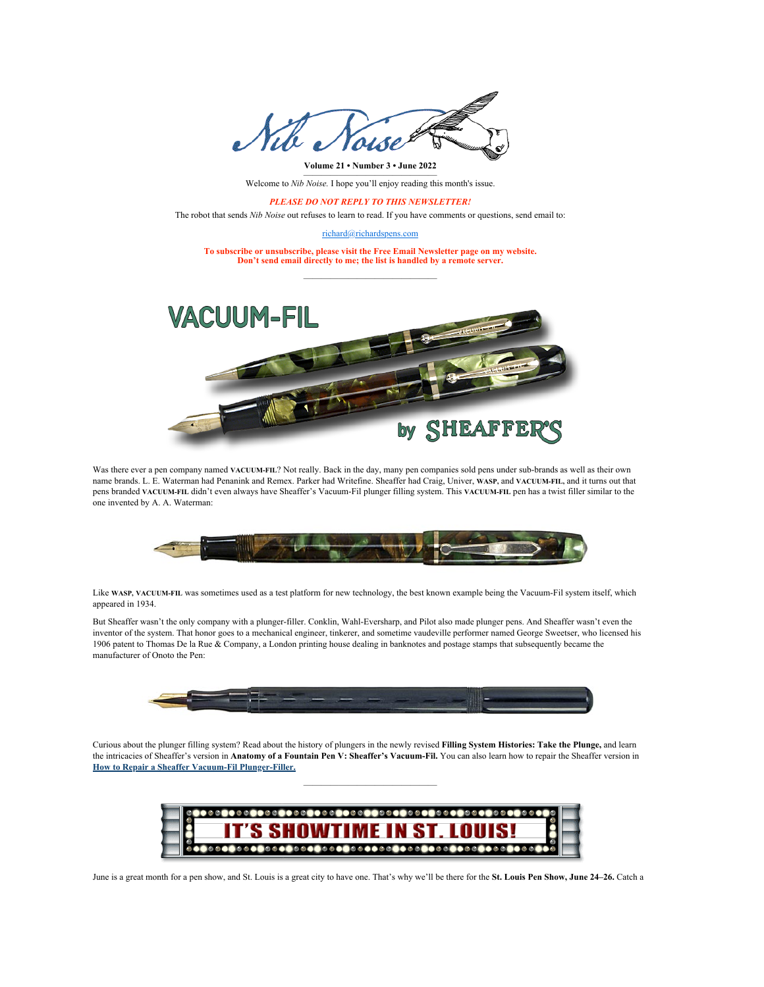

Welcome to *Nib Noise*. I hope you'll enjoy reading this month's issue.

*PLEASE DO NOT REPLY TO THIS NEWSLETTER!*

The robot that sends *Nib Noise* out refuses to learn to read. If you have comments or questions, send email to:

[richard@richardspens.com](mailto:richard@richardspens.com)

**To subscribe or unsubscribe, please visit the [Free Email Newsletter](http://www.richardspens.com/?info=nibnoise) page on my website. Don't send email directly to me; the list is handled by a remote server.** ———————————————



Was there ever a pen company named **VACUUM-FIL**? Not really. Back in the day, many pen companies sold pens under sub-brands as well as their own name brands. L. E. Waterman had Penanink and Remex. Parker had Writefine. Sheaffer had Craig, Univer, **WASP,** and **VACUUM-FIL,** and it turns out that pens branded **VACUUM-FIL** didn't even always have Sheaffer's Vacuum-Fil plunger filling system. This **VACUUM-FIL** pen has a twist filler similar to the one invented by A. A. Waterman:



Like **WASP, VACUUM-FIL** was sometimes used as a test platform for new technology, the best known example being the Vacuum-Fil system itself, which appeared in 1934.

But Sheaffer wasn't the only company with a plunger-filler. Conklin, Wahl-Eversharp, and Pilot also made plunger pens. And Sheaffer wasn't even the inventor of the system. That honor goes to a mechanical engineer, tinkerer, and sometime vaudeville performer named George Sweetser, who licensed his 1906 patent to Thomas De la Rue & Company, a London printing house dealing in banknotes and postage stamps that subsequently became the manufacturer of Onoto the Pen:



Curious about the plunger filling system? Read about the history of plungers in the newly revised **[Filling System Histories: Take the Plunge](http://www.richardspens.com/?fillers=plunger),** and learn the intricacies of Sheaffer's version in **[Anatomy of a Fountain Pen V: Sheaffer's Vacuum-Fil](http://www.richardspens.com/?anatomy=vacfil).** You can also learn how to repair the Sheaffer version in **[How to Repair a Sheaffer Vacuum-Fil Plunger-Filler](http://www.richardspens.com/?rep=plunger).**

———————————————



June is a great month for a pen show, and St. Louis is a great city to have one. That's why we'll be there for the **[St. Louis Pen Show, June 24–26.](https://www.stlpenshow.com/)** Catch a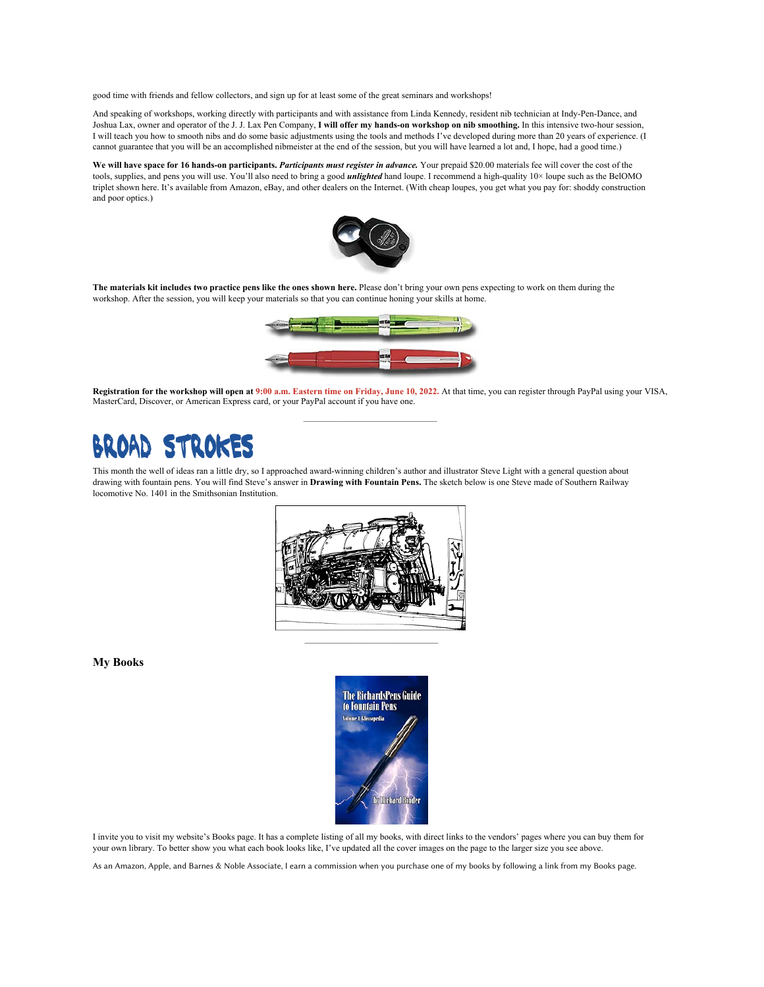good time with friends and fellow collectors, and sign up for at least some of the great seminars and workshops!

And speaking of workshops, working directly with participants and with assistance from Linda Kennedy, resident nib technician at Indy-Pen-Dance, and Joshua Lax, owner and operator of the J. J. Lax Pen Company, **I will offer my hands-on workshop on nib smoothing.** In this intensive two-hour session, I will teach you how to smooth nibs and do some basic adjustments using the tools and methods I've developed during more than 20 years of experience. (I cannot guarantee that you will be an accomplished nibmeister at the end of the session, but you will have learned a lot and, I hope, had a good time.)

**We will have space for 16 hands-on participants.** *[Participants must register in advance.](http://www.richardspens.com/?page=workshop)* Your prepaid \$20.00 materials fee will cover the cost of the tools, supplies, and pens you will use. You'll also need to bring a good *unlighted* hand loupe. I recommend a high-quality 10× loupe such as the BelOMO triplet shown here. It's available from Amazon, eBay, and other dealers on the Internet. (With cheap loupes, you get what you pay for: shoddy construction and poor optics.)



**The materials kit includes two practice pens like the ones shown here.** Please don't bring your own pens expecting to work on them during the workshop. After the session, you will keep your materials so that you can continue honing your skills at home.



**[Registration for the workshop](http://www.richardspens.com/?page=workshop) will open at 9:00 a.m. Eastern time on Friday, June 10, 2022.** At that time, you can register through PayPal using your VISA, MasterCard, Discover, or American Express card, or your PayPal account if you have one.

———————————————

# чик

This month the well of ideas ran a little dry, so I approached award-winning children's author and illustrator Steve Light with a general question about drawing with fountain pens. You will find Steve's answer in **[Drawing with Fountain Pens.](http://www.richardspens.com/?misc=drawing_w_fp)** The sketch below is one Steve made of Southern Railway locomotive No. 1401 in the Smithsonian Institution.



**My Books**



I invite you to visit my website's Books page. It has a [complete listing of all my books,](http://www.richardspens.com/?bks=) with direct links to the vendors' pages where you can buy them for your own library. To better show you what each book looks like, I've updated all the cover images on the page to the larger size you see above.

As an Amazon, Apple, and Barnes & Noble Associate, I earn a commission when you purchase one of my books by following a link from my Books page.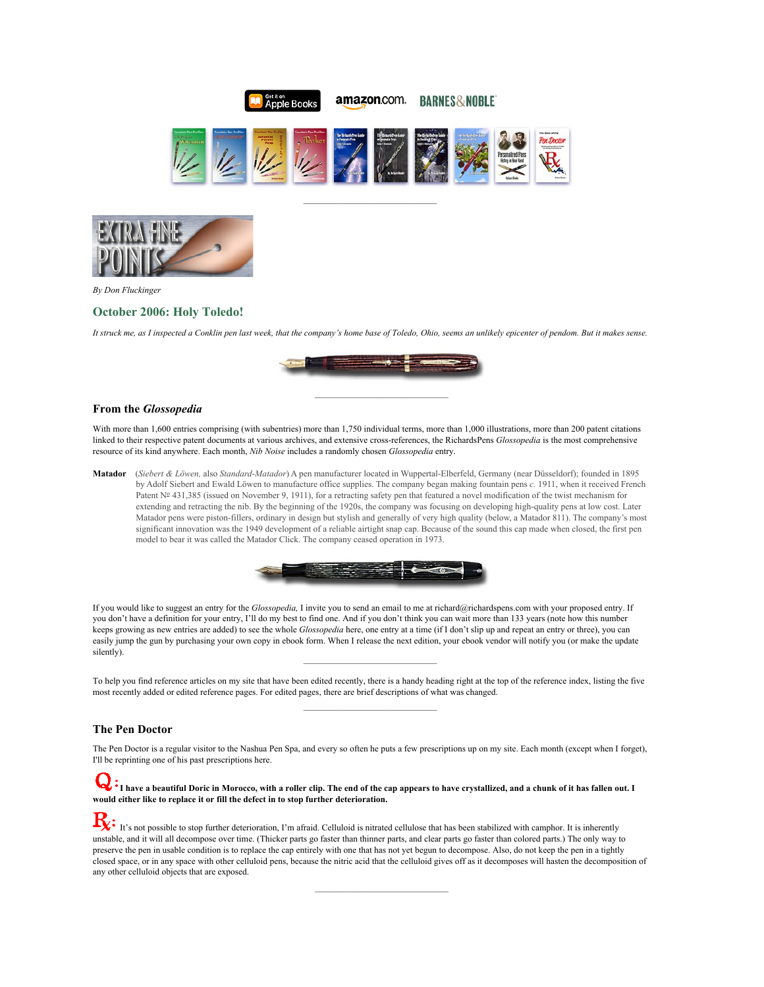

amazon.com.



———————————————



*By Don Fluckinger*

## **[October 2006: Holy Toledo!](http://www.richardspens.com/?xf=0610)**

*It struck me, as I inspected a Conklin pen last week, that the company's home base of Toledo, Ohio, seems an unlikely epicenter of pendom. But it makes sense.*



———————————————

### **From the** *Glossopedia*

With more than 1,600 entries comprising (with subentries) more than 1,750 individual terms, more than 1,000 illustrations, more than 200 patent citations linked to their respective patent documents at various archives, and extensive cross-references, the RichardsPens *Glossopedia* is the most comprehensive resource of its kind anywhere. Each month, *Nib Noise* includes a randomly chosen *Glossopedia* entry.

**Matador** (*Siebert & Löwen,* also *Standard-Matador*) A pen manufacturer located in Wuppertal-Elberfeld, Germany (near Düsseldorf); founded in 1895 by Adolf Siebert and Ewald Löwen to manufacture office supplies. The company began making fountain pens *c.* 1911, when it received French Patent Nº [431,385](https://worldwide.espacenet.com/publicationDetails/originalDocument?CC=FR&NR=431385A&KC=A&FT=D&ND=&date=19111109&DB=&locale=) (issued on November 9, 1911), for a retracting safety pen that featured a novel modification of the twist mechanism for extending and retracting the nib. By the beginning of the 1920s, the company was focusing on developing high-quality pens at low cost. Later Matador pens were piston-fillers, ordinary in design but stylish and generally of very high quality (below, a Matador 811). The company's most significant innovation was the 1949 development of a reliable airtight snap cap. Because of the sound this cap made when closed, the first pen model to bear it was called the Matador Click. The company ceased operation in 1973.



If you would like to suggest an entry for the *Glossopedia,* I invite you to send an email to me at [richard@richardspens.com](mailto:richard@richardspens.com?subject=Glossopedia%20suggestion) with your proposed entry. If you don't have a definition for your entry, I'll do my best to find one. And if you don't think you can wait more than 133 years (note how this number keeps growing as new entries are added) to see the whole *Glossopedia* here, one entry at a time (if I don't slip up and repeat an entry or three), you can easily jump the gun by [purchasing your own copy in ebook form](http://www.richardspens.com/?bks=richard+vol1). When I release the next edition, your ebook vendor will notify you (or make the update silently).

——————————————— To help you find reference articles on my site that have been edited recently, there is a handy heading right at the top of the [reference index,](http://www.richardspens.com/?refp=) listing the five most recently added or edited reference pages. For edited pages, there are brief descriptions of what was changed. ———————————————

#### **The Pen Doctor**

The Pen Doctor is a regular visitor to the Nashua Pen Spa, and every so often he puts a few prescriptions up on my site. Each month (except when I forget), I'll be reprinting one of his past prescriptions here.

## **I have a beautiful Doric in Morocco, with a roller clip. The end of the cap appears to have crystallized, and a chunk of it has fallen out. I would either like to replace it or fill the defect in to stop further deterioration.**

 $\mathbf{R}$ : It's not possible to stop further deterioration, I'm afraid. Celluloid is nitrated cellulose that has been stabilized with camphor. It is inherently unstable, and it will all decompose over time. (Thicker parts go faster than thinner parts, and clear parts go faster than colored parts.) The only way to preserve the pen in usable condition is to replace the cap entirely with one that has not yet begun to decompose. Also, do not keep the pen in a tightly closed space, or in any space with other celluloid pens, because the nitric acid that the celluloid gives off as it decomposes will hasten the decomposition of any other celluloid objects that are exposed.

———————————————